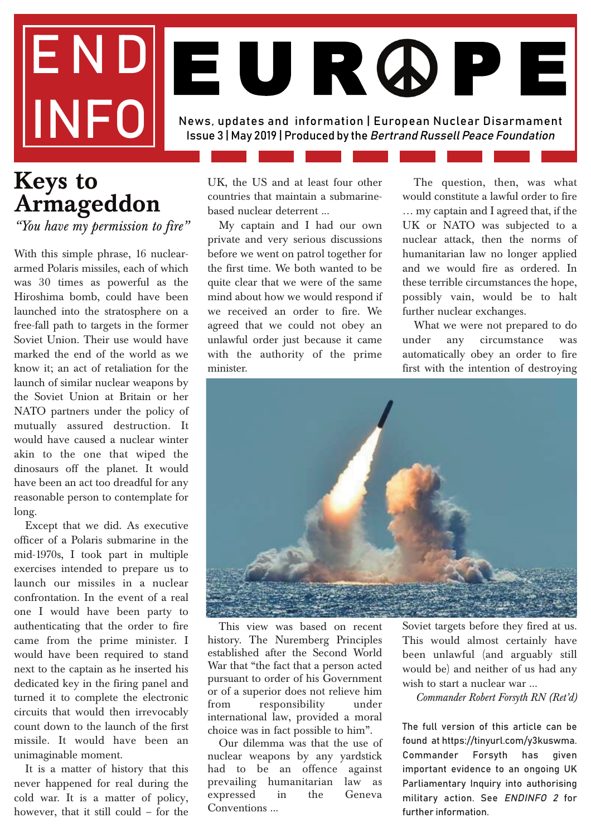# END INFO News, updates and information | European Nuclear Disarmament Issue 3 | May 2019 | Produced by the Bertrand Russell Peace Foundation EURDPE

## **Keys to Armageddon**

*"You have my permission to fire"*

With this simple phrase, 16 nucleararmed Polaris missiles, each of which was 30 times as powerful as the Hiroshima bomb, could have been launched into the stratosphere on a free-fall path to targets in the former Soviet Union. Their use would have marked the end of the world as we know it; an act of retaliation for the launch of similar nuclear weapons by the Soviet Union at Britain or her NATO partners under the policy of mutually assured destruction. It would have caused a nuclear winter akin to the one that wiped the dinosaurs off the planet. It would have been an act too dreadful for any reasonable person to contemplate for long.

Except that we did. As executive officer of a Polaris submarine in the mid-1970s, I took part in multiple exercises intended to prepare us to launch our missiles in a nuclear confrontation. In the event of a real one I would have been party to authenticating that the order to fire came from the prime minister. I would have been required to stand next to the captain as he inserted his dedicated key in the firing panel and turned it to complete the electronic circuits that would then irrevocably count down to the launch of the first missile. It would have been an unimaginable moment.

It is a matter of history that this never happened for real during the cold war. It is a matter of policy, however, that it still could – for the

UK, the US and at least four other countries that maintain a submarinebased nuclear deterrent ...

My captain and I had our own private and very serious discussions before we went on patrol together for the first time. We both wanted to be quite clear that we were of the same mind about how we would respond if we received an order to fire. We agreed that we could not obey an unlawful order just because it came with the authority of the prime minister.

The question, then, was what would constitute a lawful order to fire … my captain and I agreed that, if the UK or NATO was subjected to a nuclear attack, then the norms of humanitarian law no longer applied and we would fire as ordered. In these terrible circumstances the hope, possibly vain, would be to halt further nuclear exchanges.

What we were not prepared to do under any circumstance was automatically obey an order to fire first with the intention of destroying



This view was based on recent history. The Nuremberg Principles established after the Second World War that "the fact that a person acted pursuant to order of his Government or of a superior does not relieve him from responsibility under international law, provided a moral choice was in fact possible to him".

Our dilemma was that the use of nuclear weapons by any yardstick had to be an offence against prevailing humanitarian law as expressed in the Geneva Conventions ...

Soviet targets before they fired at us. This would almost certainly have been unlawful (and arguably still would be) and neither of us had any wish to start a nuclear war ...

*Commander Robert Forsyth RN (Ret'd)*

The full version of this article can be found at https://tinyurl.com/y3kuswma. Commander Forsyth has given important evidence to an ongoing UK Parliamentary Inquiry into authorising military action. See ENDINFO 2 for further information.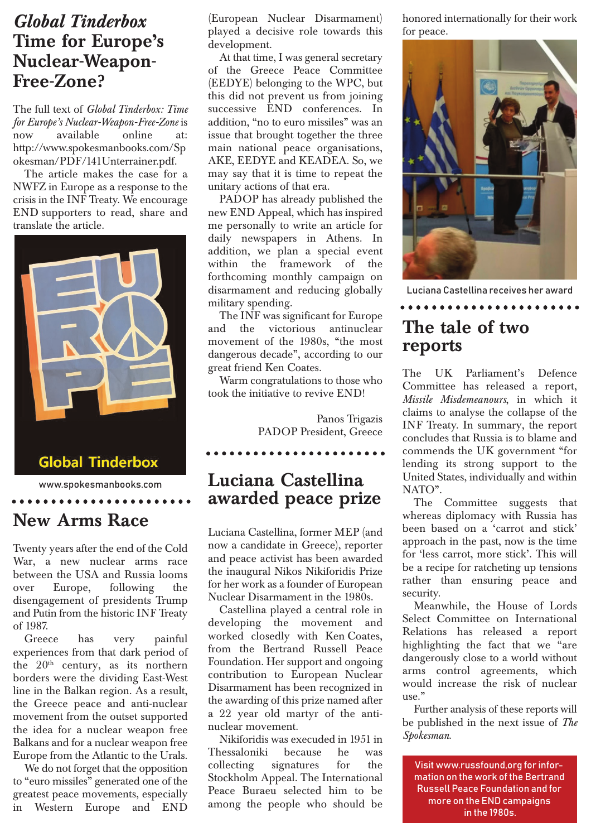## *Global Tinderbox* **Time for Europe's Nuclear-Weapon-Free-Zone?**

The full text of *Global Tinderbox: Time for Europe's Nuclear-Weapon-Free-Zone* is now available online at: http://www.spokesmanbooks.com/Sp okesman/PDF/141Unterrainer.pdf.

The article makes the case for a NWFZ in Europe as a response to the crisis in the INF Treaty. We encourage END supporters to read, share and translate the article.



## **New Arms Race**

Twenty years after the end of the Cold War, a new nuclear arms race between the USA and Russia looms over Europe, following the disengagement of presidents Trump and Putin from the historic INF Treaty of 1987.

. . . . . . . . . . . . . . . . . . . .

Greece has very painful experiences from that dark period of the  $20<sup>th</sup>$  century, as its northern borders were the dividing East-West line in the Balkan region. As a result, the Greece peace and anti-nuclear movement from the outset supported the idea for a nuclear weapon free Balkans and for a nuclear weapon free Europe from the Atlantic to the Urals.

We do not forget that the opposition to "euro missiles" generated one of the greatest peace movements, especially in Western Europe and END

(European Nuclear Disarmament) played a decisive role towards this development.

At that time, I was general secretary of the Greece Peace Committee (EEDYE) belonging to the WPC, but this did not prevent us from joining successive END conferences. In addition, "no to euro missiles" was an issue that brought together the three main national peace organisations, AKE, EEDYE and KEADEA. So, we may say that it is time to repeat the unitary actions of that era.

PADOP has already published the new END Appeal, which has inspired me personally to write an article for daily newspapers in Athens. In addition, we plan a special event within the framework of the forthcoming monthly campaign on disarmament and reducing globally military spending.

The INF was significant for Europe and the victorious antinuclear movement of the 1980s, "the most dangerous decade", according to our great friend Ken Coates.

Warm congratulations to those who took the initiative to revive END!

> Panos Trigazis PADOP President, Greece

> > *<u><u>AAAAAAAAA</u>A</u>*

## **Luciana Castellina awarded peace prize**

Luciana Castellina, former MEP (and now a candidate in Greece), reporter and peace activist has been awarded the inaugural Nikos Nikiforidis Prize for her work as a founder of European Nuclear Disarmament in the 1980s.

Castellina played a central role in developing the movement and worked closedly with Ken Coates, from the Bertrand Russell Peace Foundation. Her support and ongoing contribution to European Nuclear Disarmament has been recognized in the awarding of this prize named after a 22 year old martyr of the antinuclear movement.

Nikiforidis was execuded in 1951 in Thessaloniki because he was collecting signatures for the Stockholm Appeal. The International Peace Buraeu selected him to be among the people who should be honored internationally for their work for peace.



Luciana Castellina receives her award

....................

## **The tale of two reports**

The UK Parliament's Defence Committee has released a report, *Missile Misdemeanours*, in which it claims to analyse the collapse of the INF Treaty. In summary, the report concludes that Russia is to blame and commends the UK government "for lending its strong support to the United States, individually and within NATO".

The Committee suggests that whereas diplomacy with Russia has been based on a 'carrot and stick' approach in the past, now is the time for 'less carrot, more stick'. This will be a recipe for ratcheting up tensions rather than ensuring peace and security.

Meanwhile, the House of Lords Select Committee on International Relations has released a report highlighting the fact that we "are dangerously close to a world without arms control agreements, which would increase the risk of nuclear  $_{\text{Use}}$ "

Further analysis of these reports will be published in the next issue of *The Spokesman*.

Visit www.russfound,org for information on the work of the Bertrand Russell Peace Foundation and for more on the END campaigns in the 1980s.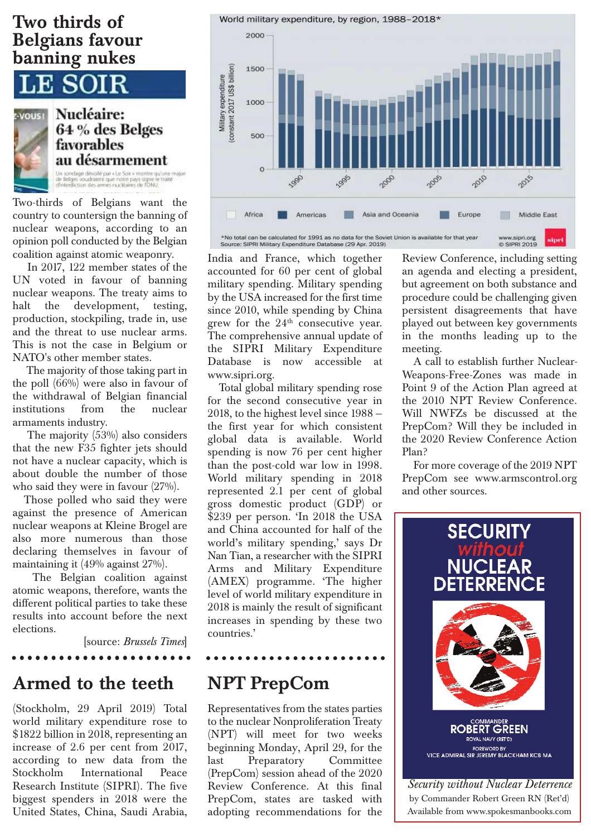### **Two thirds of Belgians favour banning nukes**

E SOIR



Nucléaire: 64 % des Belges favorables au désarmement .<br>Un sondage dévoilé par « Le Soir » montre qu'une majori<br>de Belges voudraient que notre pays signe le traité<br>d'interdiction des armes nucléaires de l'ONU,

Two-thirds of Belgians want the country to countersign the banning of nuclear weapons, according to an opinion poll conducted by the Belgian coalition against atomic weaponry.

In 2017, 122 member states of the UN voted in favour of banning nuclear weapons. The treaty aims to halt the development, testing, production, stockpiling, trade in, use and the threat to use nuclear arms. This is not the case in Belgium or NATO's other member states.

The majority of those taking part in the poll (66%) were also in favour of the withdrawal of Belgian financial institutions from the nuclear armaments industry.

The majority (53%) also considers that the new F35 fighter jets should not have a nuclear capacity, which is about double the number of those who said they were in favour (27%).

Those polled who said they were against the presence of American nuclear weapons at Kleine Brogel are also more numerous than those declaring themselves in favour of maintaining it (49% against 27%).

The Belgian coalition against atomic weapons, therefore, wants the different political parties to take these results into account before the next elections.

[source: *Brussels Times*]

. . . . . . . . . . . . . . . . . . .

## **Armed to the teeth**

(Stockholm, 29 April 2019) Total world military expenditure rose to \$1822 billion in 2018, representing an increase of 2.6 per cent from 2017, according to new data from the Stockholm International Peace Research Institute (SIPRI). The five biggest spenders in 2018 were the United States, China, Saudi Arabia,

World military expenditure, by region, 1988-2018\*



India and France, which together accounted for 60 per cent of global military spending. Military spending by the USA increased for the first time since 2010, while spending by China grew for the 24<sup>th</sup> consecutive year. The comprehensive annual update of the SIPRI Military Expenditure Database is now accessible at www.sipri.org.

Total global military spending rose for the second consecutive year in 2018, to the highest level since 1988 the first year for which consistent global data is available. World spending is now 76 per cent higher than the post-cold war low in 1998. World military spending in 2018 represented 2.1 per cent of global gross domestic product (GDP) or \$239 per person. 'In 2018 the USA and China accounted for half of the world's military spending,' says Dr Nan Tian, a researcher with the SIPRI Arms and Military Expenditure (AMEX) programme. 'The higher level of world military expenditure in 2018 is mainly the result of significant increases in spending by these two countries.'

## **NPT PrepCom**

. . . . . . . . . . . . . .

Representatives from the states parties to the nuclear Nonproliferation Treaty (NPT) will meet for two weeks beginning Monday, April 29, for the last Preparatory Committee (PrepCom) session ahead of the 2020 Review Conference. At this final PrepCom, states are tasked with adopting recommendations for the

Review Conference, including setting an agenda and electing a president, but agreement on both substance and procedure could be challenging given persistent disagreements that have played out between key governments in the months leading up to the meeting.

A call to establish further Nuclear-Weapons-Free-Zones was made in Point 9 of the Action Plan agreed at the 2010 NPT Review Conference. Will NWFZs be discussed at the PrepCom? Will they be included in the 2020 Review Conference Action Plan?

For more coverage of the 2019 NPT PrepCom see www.armscontrol.org and other sources.